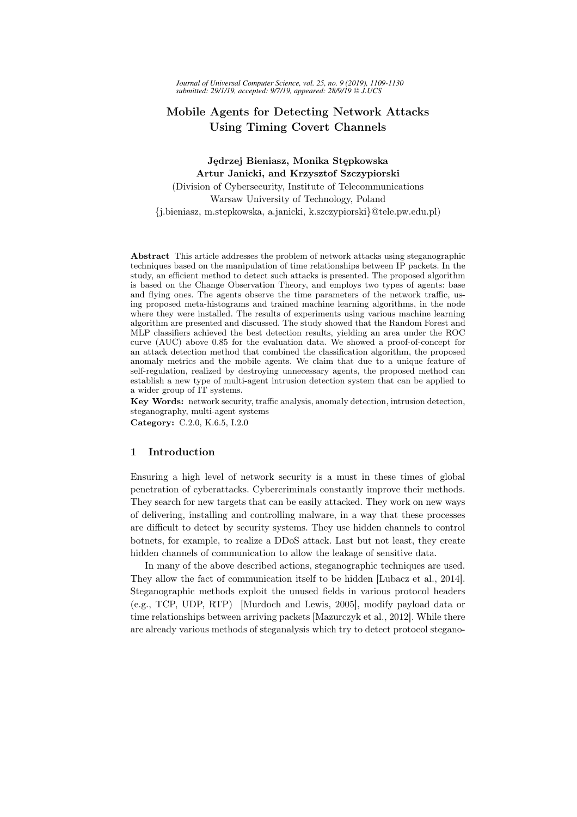*Journal of Universal Computer Science, vol. 25, no. 9 (2019), 1109-1130 submitted: 29/1/19, accepted: 9/7/19, appeared: 28/9/19 J.UCS*

## Mobile Agents for Detecting Network Attacks Using Timing Covert Channels

# Jędrzej Bieniasz, Monika Stępkowska Artur Janicki, and Krzysztof Szczypiorski

(Division of Cybersecurity, Institute of Telecommunications Warsaw University of Technology, Poland {j.bieniasz, m.stepkowska, a.janicki, k.szczypiorski}@tele.pw.edu.pl)

Abstract This article addresses the problem of network attacks using steganographic techniques based on the manipulation of time relationships between IP packets. In the study, an efficient method to detect such attacks is presented. The proposed algorithm is based on the Change Observation Theory, and employs two types of agents: base and flying ones. The agents observe the time parameters of the network traffic, using proposed meta-histograms and trained machine learning algorithms, in the node where they were installed. The results of experiments using various machine learning algorithm are presented and discussed. The study showed that the Random Forest and MLP classifiers achieved the best detection results, yielding an area under the ROC curve (AUC) above 0.85 for the evaluation data. We showed a proof-of-concept for an attack detection method that combined the classification algorithm, the proposed anomaly metrics and the mobile agents. We claim that due to a unique feature of self-regulation, realized by destroying unnecessary agents, the proposed method can establish a new type of multi-agent intrusion detection system that can be applied to a wider group of IT systems.

Key Words: network security, traffic analysis, anomaly detection, intrusion detection, steganography, multi-agent systems

Category: C.2.0, K.6.5, I.2.0

### 1 Introduction

Ensuring a high level of network security is a must in these times of global penetration of cyberattacks. Cybercriminals constantly improve their methods. They search for new targets that can be easily attacked. They work on new ways of delivering, installing and controlling malware, in a way that these processes are difficult to detect by security systems. They use hidden channels to control botnets, for example, to realize a DDoS attack. Last but not least, they create hidden channels of communication to allow the leakage of sensitive data.

In many of the above described actions, steganographic techniques are used. They allow the fact of communication itself to be hidden [Lubacz et al., 2014]. Steganographic methods exploit the unused fields in various protocol headers (e.g., TCP, UDP, RTP) [Murdoch and Lewis, 2005], modify payload data or time relationships between arriving packets [Mazurczyk et al., 2012]. While there are already various methods of steganalysis which try to detect protocol stegano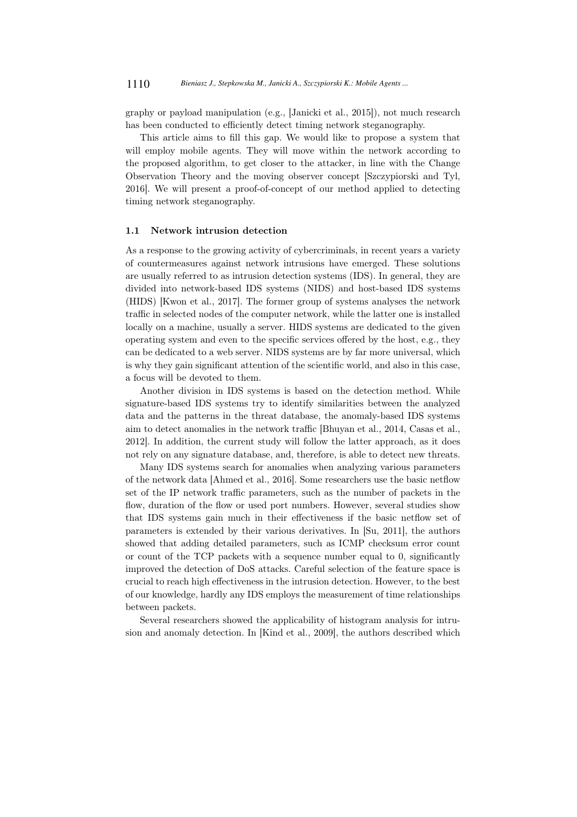graphy or payload manipulation (e.g., [Janicki et al., 2015]), not much research has been conducted to efficiently detect timing network steganography.

This article aims to fill this gap. We would like to propose a system that will employ mobile agents. They will move within the network according to the proposed algorithm, to get closer to the attacker, in line with the Change Observation Theory and the moving observer concept [Szczypiorski and Tyl, 2016]. We will present a proof-of-concept of our method applied to detecting timing network steganography.

#### 1.1 Network intrusion detection

As a response to the growing activity of cybercriminals, in recent years a variety of countermeasures against network intrusions have emerged. These solutions are usually referred to as intrusion detection systems (IDS). In general, they are divided into network-based IDS systems (NIDS) and host-based IDS systems (HIDS) [Kwon et al., 2017]. The former group of systems analyses the network traffic in selected nodes of the computer network, while the latter one is installed locally on a machine, usually a server. HIDS systems are dedicated to the given operating system and even to the specific services offered by the host, e.g., they can be dedicated to a web server. NIDS systems are by far more universal, which is why they gain significant attention of the scientific world, and also in this case, a focus will be devoted to them.

Another division in IDS systems is based on the detection method. While signature-based IDS systems try to identify similarities between the analyzed data and the patterns in the threat database, the anomaly-based IDS systems aim to detect anomalies in the network traffic [Bhuyan et al., 2014, Casas et al., 2012]. In addition, the current study will follow the latter approach, as it does not rely on any signature database, and, therefore, is able to detect new threats.

Many IDS systems search for anomalies when analyzing various parameters of the network data [Ahmed et al., 2016]. Some researchers use the basic netflow set of the IP network traffic parameters, such as the number of packets in the flow, duration of the flow or used port numbers. However, several studies show that IDS systems gain much in their effectiveness if the basic netflow set of parameters is extended by their various derivatives. In [Su, 2011], the authors showed that adding detailed parameters, such as ICMP checksum error count or count of the TCP packets with a sequence number equal to 0, significantly improved the detection of DoS attacks. Careful selection of the feature space is crucial to reach high effectiveness in the intrusion detection. However, to the best of our knowledge, hardly any IDS employs the measurement of time relationships between packets.

Several researchers showed the applicability of histogram analysis for intrusion and anomaly detection. In [Kind et al., 2009], the authors described which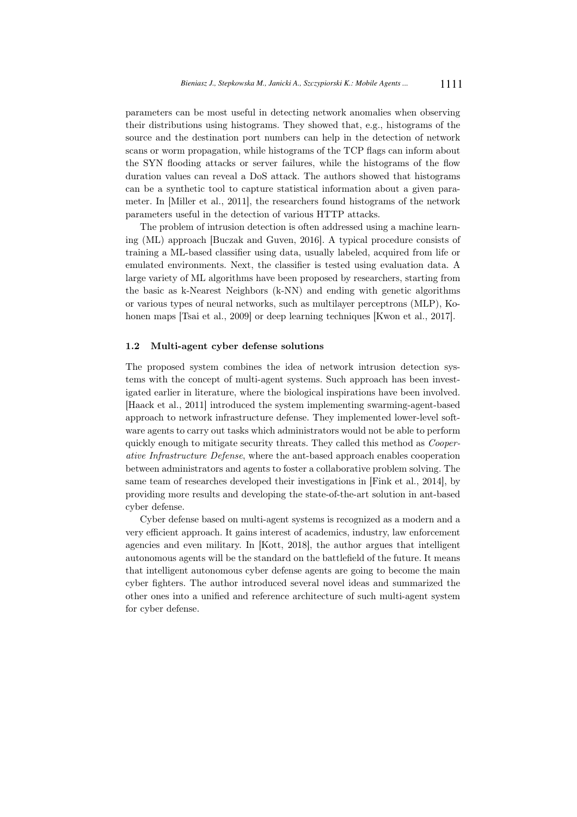parameters can be most useful in detecting network anomalies when observing their distributions using histograms. They showed that, e.g., histograms of the source and the destination port numbers can help in the detection of network scans or worm propagation, while histograms of the TCP flags can inform about the SYN flooding attacks or server failures, while the histograms of the flow duration values can reveal a DoS attack. The authors showed that histograms can be a synthetic tool to capture statistical information about a given parameter. In [Miller et al., 2011], the researchers found histograms of the network parameters useful in the detection of various HTTP attacks.

The problem of intrusion detection is often addressed using a machine learning (ML) approach [Buczak and Guven, 2016]. A typical procedure consists of training a ML-based classifier using data, usually labeled, acquired from life or emulated environments. Next, the classifier is tested using evaluation data. A large variety of ML algorithms have been proposed by researchers, starting from the basic as k-Nearest Neighbors (k-NN) and ending with genetic algorithms or various types of neural networks, such as multilayer perceptrons (MLP), Kohonen maps [Tsai et al., 2009] or deep learning techniques [Kwon et al., 2017].

#### 1.2 Multi-agent cyber defense solutions

The proposed system combines the idea of network intrusion detection systems with the concept of multi-agent systems. Such approach has been investigated earlier in literature, where the biological inspirations have been involved. [Haack et al., 2011] introduced the system implementing swarming-agent-based approach to network infrastructure defense. They implemented lower-level software agents to carry out tasks which administrators would not be able to perform quickly enough to mitigate security threats. They called this method as *Cooper*ative Infrastructure Defense, where the ant-based approach enables cooperation between administrators and agents to foster a collaborative problem solving. The same team of researches developed their investigations in [Fink et al., 2014], by providing more results and developing the state-of-the-art solution in ant-based cyber defense.

Cyber defense based on multi-agent systems is recognized as a modern and a very efficient approach. It gains interest of academics, industry, law enforcement agencies and even military. In [Kott, 2018], the author argues that intelligent autonomous agents will be the standard on the battlefield of the future. It means that intelligent autonomous cyber defense agents are going to become the main cyber fighters. The author introduced several novel ideas and summarized the other ones into a unified and reference architecture of such multi-agent system for cyber defense.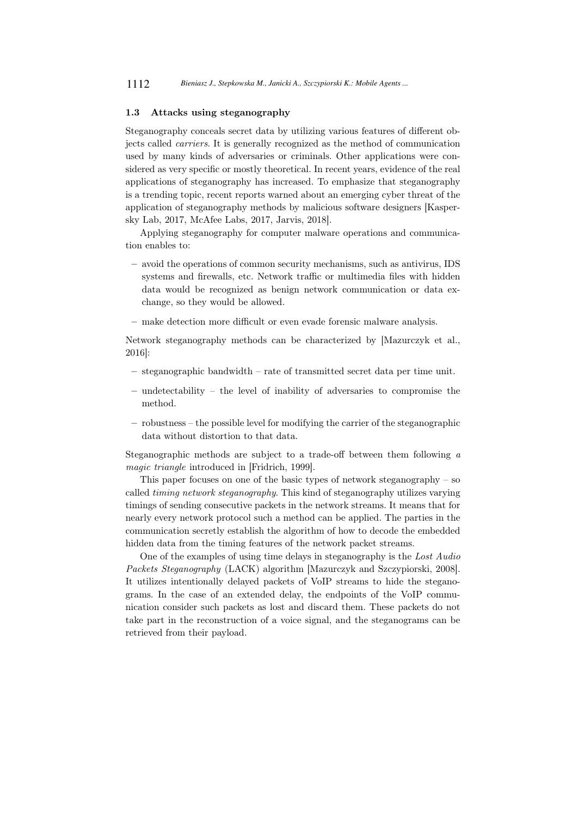#### 1.3 Attacks using steganography

Steganography conceals secret data by utilizing various features of different objects called carriers. It is generally recognized as the method of communication used by many kinds of adversaries or criminals. Other applications were considered as very specific or mostly theoretical. In recent years, evidence of the real applications of steganography has increased. To emphasize that steganography is a trending topic, recent reports warned about an emerging cyber threat of the application of steganography methods by malicious software designers [Kaspersky Lab, 2017, McAfee Labs, 2017, Jarvis, 2018].

Applying steganography for computer malware operations and communication enables to:

- avoid the operations of common security mechanisms, such as antivirus, IDS systems and firewalls, etc. Network traffic or multimedia files with hidden data would be recognized as benign network communication or data exchange, so they would be allowed.
- make detection more difficult or even evade forensic malware analysis.

Network steganography methods can be characterized by [Mazurczyk et al., 2016]:

- steganographic bandwidth rate of transmitted secret data per time unit.
- undetectability the level of inability of adversaries to compromise the method.
- robustness the possible level for modifying the carrier of the steganographic data without distortion to that data.

Steganographic methods are subject to a trade-off between them following a magic triangle introduced in [Fridrich, 1999].

This paper focuses on one of the basic types of network steganography  $-$  so called timing network steganography. This kind of steganography utilizes varying timings of sending consecutive packets in the network streams. It means that for nearly every network protocol such a method can be applied. The parties in the communication secretly establish the algorithm of how to decode the embedded hidden data from the timing features of the network packet streams.

One of the examples of using time delays in steganography is the Lost Audio Packets Steganography (LACK) algorithm [Mazurczyk and Szczypiorski, 2008]. It utilizes intentionally delayed packets of VoIP streams to hide the steganograms. In the case of an extended delay, the endpoints of the VoIP communication consider such packets as lost and discard them. These packets do not take part in the reconstruction of a voice signal, and the steganograms can be retrieved from their payload.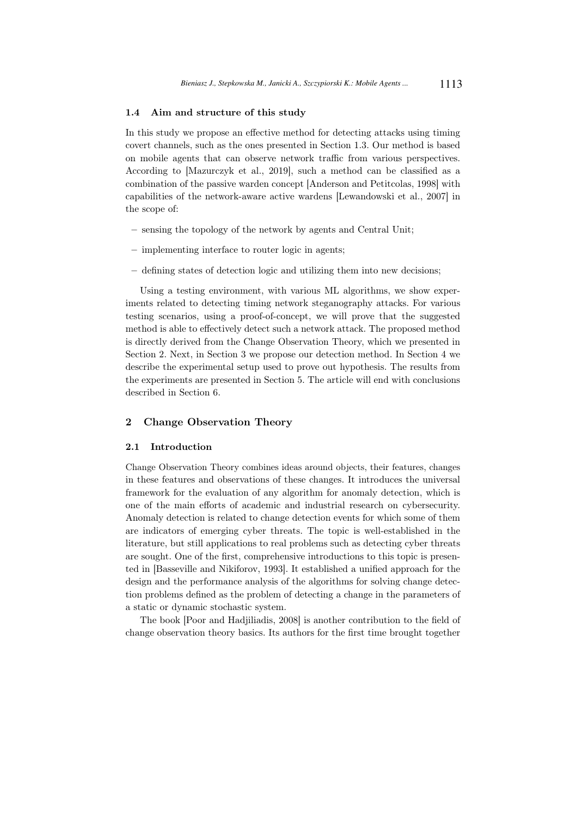#### 1.4 Aim and structure of this study

In this study we propose an effective method for detecting attacks using timing covert channels, such as the ones presented in Section 1.3. Our method is based on mobile agents that can observe network traffic from various perspectives. According to [Mazurczyk et al., 2019], such a method can be classified as a combination of the passive warden concept [Anderson and Petitcolas, 1998] with capabilities of the network-aware active wardens [Lewandowski et al., 2007] in the scope of:

- sensing the topology of the network by agents and Central Unit;
- implementing interface to router logic in agents;
- defining states of detection logic and utilizing them into new decisions;

Using a testing environment, with various ML algorithms, we show experiments related to detecting timing network steganography attacks. For various testing scenarios, using a proof-of-concept, we will prove that the suggested method is able to effectively detect such a network attack. The proposed method is directly derived from the Change Observation Theory, which we presented in Section 2. Next, in Section 3 we propose our detection method. In Section 4 we describe the experimental setup used to prove out hypothesis. The results from the experiments are presented in Section 5. The article will end with conclusions described in Section 6.

### 2 Change Observation Theory

#### 2.1 Introduction

Change Observation Theory combines ideas around objects, their features, changes in these features and observations of these changes. It introduces the universal framework for the evaluation of any algorithm for anomaly detection, which is one of the main efforts of academic and industrial research on cybersecurity. Anomaly detection is related to change detection events for which some of them are indicators of emerging cyber threats. The topic is well-established in the literature, but still applications to real problems such as detecting cyber threats are sought. One of the first, comprehensive introductions to this topic is presented in [Basseville and Nikiforov, 1993]. It established a unified approach for the design and the performance analysis of the algorithms for solving change detection problems defined as the problem of detecting a change in the parameters of a static or dynamic stochastic system.

The book [Poor and Hadjiliadis, 2008] is another contribution to the field of change observation theory basics. Its authors for the first time brought together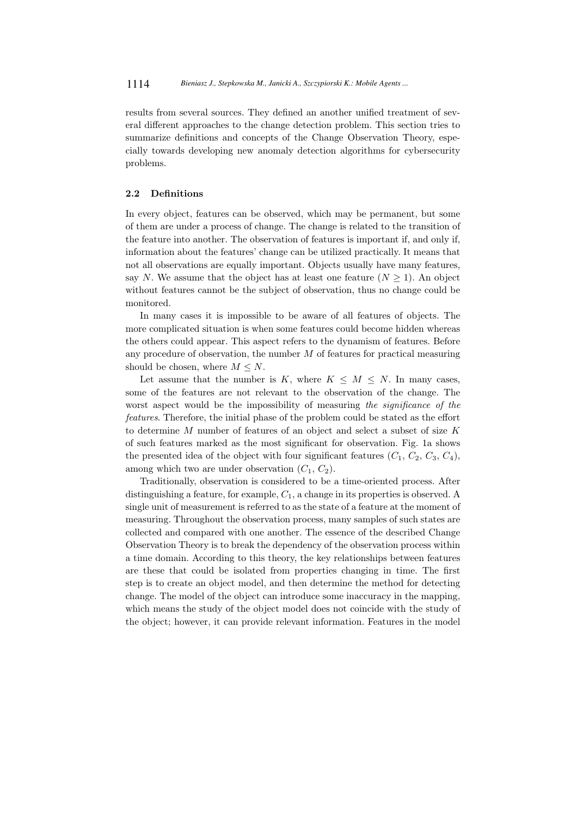results from several sources. They defined an another unified treatment of several different approaches to the change detection problem. This section tries to summarize definitions and concepts of the Change Observation Theory, especially towards developing new anomaly detection algorithms for cybersecurity problems.

#### 2.2 Definitions

In every object, features can be observed, which may be permanent, but some of them are under a process of change. The change is related to the transition of the feature into another. The observation of features is important if, and only if, information about the features' change can be utilized practically. It means that not all observations are equally important. Objects usually have many features, say N. We assume that the object has at least one feature  $(N \geq 1)$ . An object without features cannot be the subject of observation, thus no change could be monitored.

In many cases it is impossible to be aware of all features of objects. The more complicated situation is when some features could become hidden whereas the others could appear. This aspect refers to the dynamism of features. Before any procedure of observation, the number  $M$  of features for practical measuring should be chosen, where  $M \leq N$ .

Let assume that the number is K, where  $K \leq M \leq N$ . In many cases, some of the features are not relevant to the observation of the change. The worst aspect would be the impossibility of measuring the *significance* of the features. Therefore, the initial phase of the problem could be stated as the effort to determine M number of features of an object and select a subset of size K of such features marked as the most significant for observation. Fig. 1a shows the presented idea of the object with four significant features  $(C_1, C_2, C_3, C_4)$ , among which two are under observation  $(C_1, C_2)$ .

Traditionally, observation is considered to be a time-oriented process. After distinguishing a feature, for example,  $C_1$ , a change in its properties is observed. A single unit of measurement is referred to as the state of a feature at the moment of measuring. Throughout the observation process, many samples of such states are collected and compared with one another. The essence of the described Change Observation Theory is to break the dependency of the observation process within a time domain. According to this theory, the key relationships between features are these that could be isolated from properties changing in time. The first step is to create an object model, and then determine the method for detecting change. The model of the object can introduce some inaccuracy in the mapping, which means the study of the object model does not coincide with the study of the object; however, it can provide relevant information. Features in the model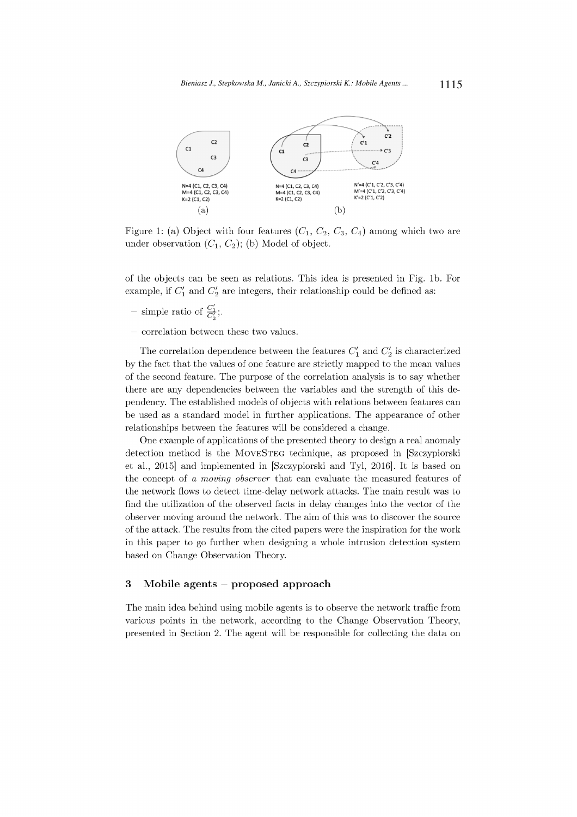

Figure 1: (a) Object with four features  $(C_1, C_2, C_3, C_4)$  among which two are under observation  $(C_1, C_2)$ ; (b) Model of object.

of the objects can be seen as relations. This idea is presented in Fig. 1b. For example, if  $C'_1$  and  $C'_2$  are integers, their relationship could be defined as:

- simple ratio of  $\frac{C'_1}{C'_2}$ ;
- $-$  correlation between these two values.

The correlation dependence between the features  $C'_1$  and  $C'_2$  is characterized by the fact that the values of one feature are strictly mapped to the mean values of the second feature. The purpose of the correlation analysis is to say whether there are any dependencies between the variables and the strength of this dependency. The established models of objects with relations between features can be used as a standard model in further applications. The appearance of other relationships between the features will be considered a change.

One example of applications of the presented theory to design a real anomaly detection method is the MOVESTEG technique, as proposed in [Szczypiorski et al., 2015] and implemented in [Szczypiorski and Tyl, 2016]. It is based on the concept of a moving observer that can evaluate the measured features of the network flows to detect time-delay network attacks. The main result was to find the utilization of the observed facts in delay changes into the vector of the observer moving around the network. The aim of this was to discover the source of the attack. The results from the cited papers were the inspiration for the work in this paper to go further when designing a whole intrusion detection system based on Change Observation Theory.

#### $\bf 3$ Mobile agents  $-$  proposed approach

The main idea behind using mobile agents is to observe the network traffic from various points in the network, according to the Change Observation Theory, presented in Section 2. The agent will be responsible for collecting the data on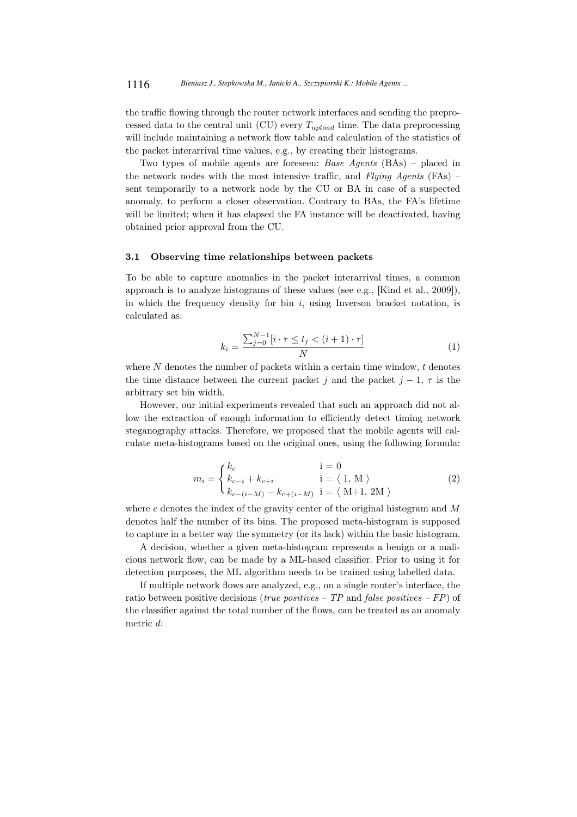the traffic flowing through the router network interfaces and sending the preprocessed data to the central unit (CU) every  $T_{upload}$  time. The data preprocessing will include maintaining a network flow table and calculation of the statistics of the packet interarrival time values, e.g., by creating their histograms.

Two types of mobile agents are foreseen: Base Agents (BAs) – placed in the network nodes with the most intensive traffic, and  $Flying$  Agents (FAs) – sent temporarily to a network node by the CU or BA in case of a suspected anomaly, to perform a closer observation. Contrary to BAs, the FA's lifetime will be limited; when it has elapsed the FA instance will be deactivated, having obtained prior approval from the CU.

#### 3.1 Observing time relationships between packets

To be able to capture anomalies in the packet interarrival times, a common approach is to analyze histograms of these values (see e.g., [Kind et al., 2009]), in which the frequency density for bin  $i$ , using Inverson bracket notation, is calculated as:

$$
k_{i} = \frac{\sum_{j=0}^{N-1} [i \cdot \tau \le t_{j} < (i+1) \cdot \tau]}{N}
$$
 (1)

where  $N$  denotes the number of packets within a certain time window,  $t$  denotes the time distance between the current packet j and the packet  $j-1, \tau$  is the arbitrary set bin width.

However, our initial experiments revealed that such an approach did not allow the extraction of enough information to efficiently detect timing network steganography attacks. Therefore, we proposed that the mobile agents will calculate meta-histograms based on the original ones, using the following formula:

$$
m_{i} = \begin{cases} k_{c} & \text{if } i = 0\\ k_{c-i} + k_{c+i} & \text{if } i = \langle 1, M \rangle\\ k_{c-(i-M)} - k_{c+(i-M)} & \text{if } i = \langle M+1, 2M \rangle \end{cases} \tag{2}
$$

where c denotes the index of the gravity center of the original histogram and  $M$ denotes half the number of its bins. The proposed meta-histogram is supposed to capture in a better way the symmetry (or its lack) within the basic histogram.

A decision, whether a given meta-histogram represents a benign or a malicious network flow, can be made by a ML-based classifier. Prior to using it for detection purposes, the ML algorithm needs to be trained using labelled data.

If multiple network flows are analyzed, e.g., on a single router's interface, the ratio between positive decisions (*true positives – TP* and *false positives – FP*) of the classifier against the total number of the flows, can be treated as an anomaly metric d: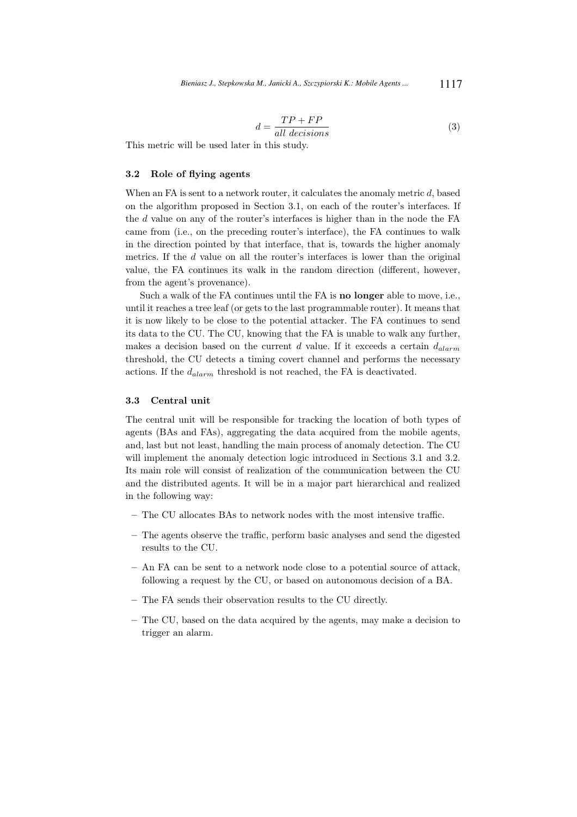$$
d = \frac{TP + FP}{all\ decisions} \tag{3}
$$

This metric will be used later in this study.

## 3.2 Role of flying agents

When an FA is sent to a network router, it calculates the anomaly metric d, based on the algorithm proposed in Section 3.1, on each of the router's interfaces. If the d value on any of the router's interfaces is higher than in the node the FA came from (i.e., on the preceding router's interface), the FA continues to walk in the direction pointed by that interface, that is, towards the higher anomaly metrics. If the d value on all the router's interfaces is lower than the original value, the FA continues its walk in the random direction (different, however, from the agent's provenance).

Such a walk of the FA continues until the FA is no longer able to move, i.e., until it reaches a tree leaf (or gets to the last programmable router). It means that it is now likely to be close to the potential attacker. The FA continues to send its data to the CU. The CU, knowing that the FA is unable to walk any further, makes a decision based on the current d value. If it exceeds a certain  $d_{alarm}$ threshold, the CU detects a timing covert channel and performs the necessary actions. If the  $d_{alarm}$  threshold is not reached, the FA is deactivated.

#### 3.3 Central unit

The central unit will be responsible for tracking the location of both types of agents (BAs and FAs), aggregating the data acquired from the mobile agents, and, last but not least, handling the main process of anomaly detection. The CU will implement the anomaly detection logic introduced in Sections 3.1 and 3.2. Its main role will consist of realization of the communication between the CU and the distributed agents. It will be in a major part hierarchical and realized in the following way:

- The CU allocates BAs to network nodes with the most intensive traffic.
- The agents observe the traffic, perform basic analyses and send the digested results to the CU.
- An FA can be sent to a network node close to a potential source of attack, following a request by the CU, or based on autonomous decision of a BA.
- The FA sends their observation results to the CU directly.
- The CU, based on the data acquired by the agents, may make a decision to trigger an alarm.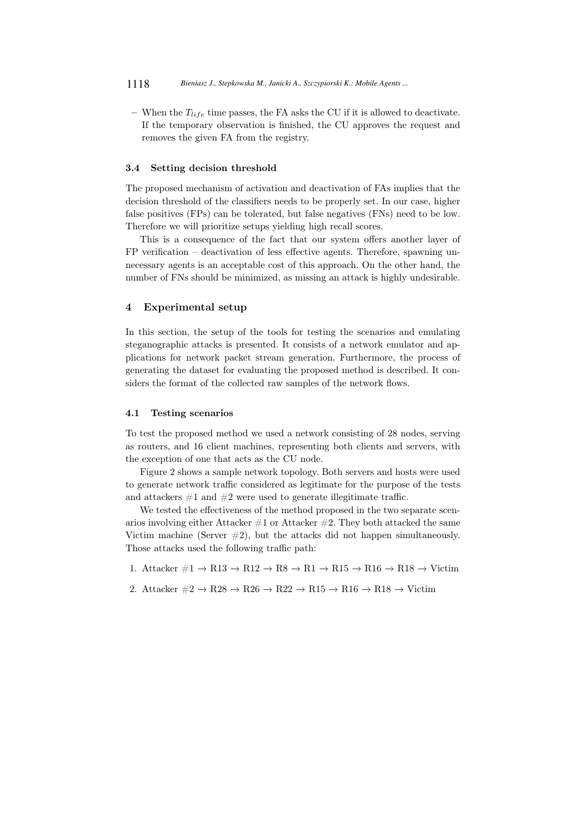– When the  $T_{life}$  time passes, the FA asks the CU if it is allowed to deactivate. If the temporary observation is finished, the CU approves the request and removes the given FA from the registry.

#### 3.4 Setting decision threshold

The proposed mechanism of activation and deactivation of FAs implies that the decision threshold of the classifiers needs to be properly set. In our case, higher false positives (FPs) can be tolerated, but false negatives (FNs) need to be low. Therefore we will prioritize setups yielding high recall scores.

This is a consequence of the fact that our system offers another layer of FP verification – deactivation of less effective agents. Therefore, spawning unnecessary agents is an acceptable cost of this approach. On the other hand, the number of FNs should be minimized, as missing an attack is highly undesirable.

#### 4 Experimental setup

In this section, the setup of the tools for testing the scenarios and emulating steganographic attacks is presented. It consists of a network emulator and applications for network packet stream generation. Furthermore, the process of generating the dataset for evaluating the proposed method is described. It considers the format of the collected raw samples of the network flows.

#### 4.1 Testing scenarios

To test the proposed method we used a network consisting of 28 nodes, serving as routers, and 16 client machines, representing both clients and servers, with the exception of one that acts as the CU node.

Figure 2 shows a sample network topology. Both servers and hosts were used to generate network traffic considered as legitimate for the purpose of the tests and attackers  $#1$  and  $#2$  were used to generate illegitimate traffic.

We tested the effectiveness of the method proposed in the two separate scenarios involving either Attacker  $\#1$  or Attacker  $\#2$ . They both attacked the same Victim machine (Server  $\#2$ ), but the attacks did not happen simultaneously. Those attacks used the following traffic path:

- 1. Attacker  $\#1 \to R13 \to R12 \to R8 \to R1 \to R15 \to R16 \to R18 \to Victim$
- 2. Attacker  $\#2 \to R28 \to R26 \to R22 \to R15 \to R16 \to R18 \to \text{Victim}$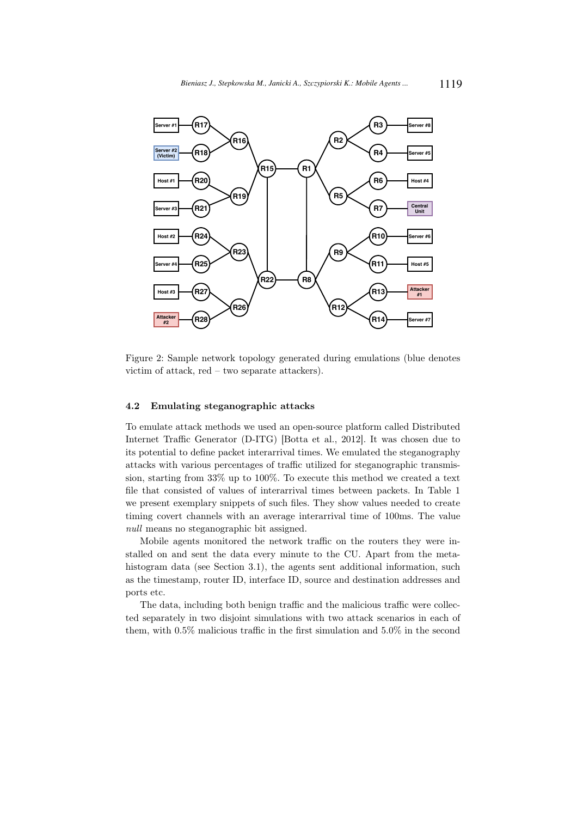

Figure 2: Sample network topology generated during emulations (blue denotes victim of attack, red – two separate attackers).

#### 4.2 Emulating steganographic attacks

To emulate attack methods we used an open-source platform called Distributed Internet Traffic Generator (D-ITG) [Botta et al., 2012]. It was chosen due to its potential to define packet interarrival times. We emulated the steganography attacks with various percentages of traffic utilized for steganographic transmission, starting from 33% up to 100%. To execute this method we created a text file that consisted of values of interarrival times between packets. In Table 1 we present exemplary snippets of such files. They show values needed to create timing covert channels with an average interarrival time of 100ms. The value null means no steganographic bit assigned.

Mobile agents monitored the network traffic on the routers they were installed on and sent the data every minute to the CU. Apart from the metahistogram data (see Section 3.1), the agents sent additional information, such as the timestamp, router ID, interface ID, source and destination addresses and ports etc.

The data, including both benign traffic and the malicious traffic were collected separately in two disjoint simulations with two attack scenarios in each of them, with 0.5% malicious traffic in the first simulation and 5.0% in the second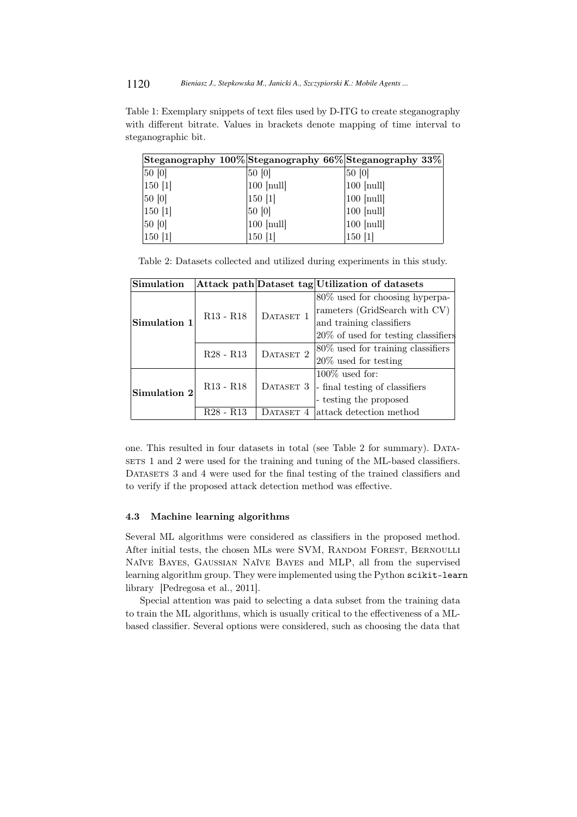Table 1: Exemplary snippets of text files used by D-ITG to create steganography with different bitrate. Values in brackets denote mapping of time interval to steganographic bit.

| Steganography $100\%$ Steganography 66% Steganography 33% |                       |              |
|-----------------------------------------------------------|-----------------------|--------------|
| 50 [0]                                                    | 50 [0]                | 50 [0]       |
| 150 [1]                                                   | $100$ [null]          | $100$ [null] |
| 50 [0]                                                    | 150 1                 | $100$ [null] |
| $150$ [1]                                                 | 50 [0]                | $100$ [null] |
| 50 [0]                                                    | $ 100 \text{ [null]}$ | $100$ [null] |
| $150$ [1]                                                 | 150 [1]               | 150 [1]      |

Table 2: Datasets collected and utilized during experiments in this study.

| Simulation   |                                                |           | Attack path Dataset tag Utilization of datasets |
|--------------|------------------------------------------------|-----------|-------------------------------------------------|
|              |                                                |           | 80\% used for choosing hyperpa-                 |
|              | $R13 - R18$                                    | DATASET 1 | rameters (GridSearch with CV)                   |
| Simulation 1 |                                                |           | and training classifiers                        |
|              |                                                |           | 20% of used for testing classifiers             |
|              | $R28 - R13$                                    | DATASET 2 | 80% used for training classifiers               |
|              |                                                |           | $20\%$ used for testing                         |
|              |                                                |           | $100\%$ used for:                               |
| Simulation 2 | $R13 - R18$                                    | DATASET 3 | -final testing of classifiers                   |
|              |                                                |           | - testing the proposed                          |
|              | R <sub>28</sub> - R <sub>13</sub><br>DATASET 4 |           | attack detection method                         |

one. This resulted in four datasets in total (see Table 2 for summary). Datasets 1 and 2 were used for the training and tuning of the ML-based classifiers. DATASETS 3 and 4 were used for the final testing of the trained classifiers and to verify if the proposed attack detection method was effective.

#### 4.3 Machine learning algorithms

Several ML algorithms were considered as classifiers in the proposed method. After initial tests, the chosen MLs were SVM, RANDOM FOREST, BERNOULLI Naïve Bayes, Gaussian Naïve Bayes and MLP, all from the supervised learning algorithm group. They were implemented using the Python scikit-learn library [Pedregosa et al., 2011].

Special attention was paid to selecting a data subset from the training data to train the ML algorithms, which is usually critical to the effectiveness of a MLbased classifier. Several options were considered, such as choosing the data that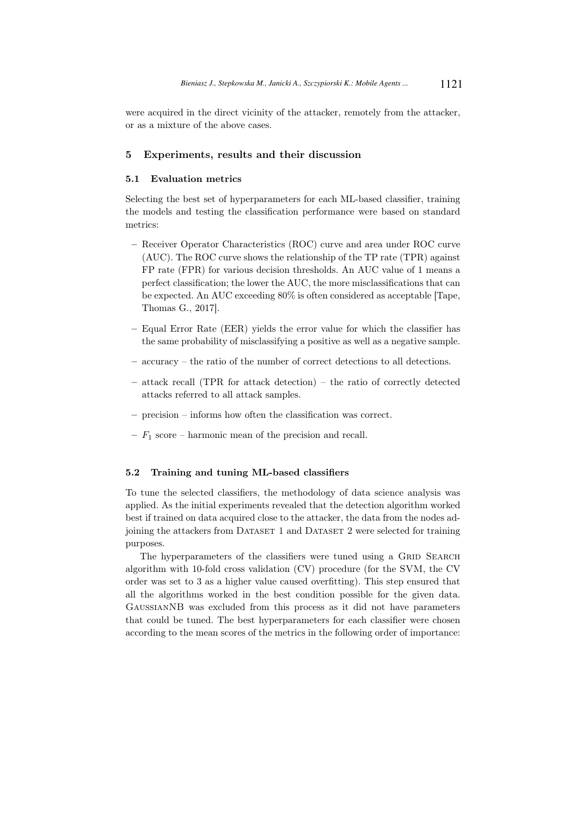were acquired in the direct vicinity of the attacker, remotely from the attacker, or as a mixture of the above cases.

### 5 Experiments, results and their discussion

#### 5.1 Evaluation metrics

Selecting the best set of hyperparameters for each ML-based classifier, training the models and testing the classification performance were based on standard metrics:

- Receiver Operator Characteristics (ROC) curve and area under ROC curve (AUC). The ROC curve shows the relationship of the TP rate (TPR) against FP rate (FPR) for various decision thresholds. An AUC value of 1 means a perfect classification; the lower the AUC, the more misclassifications that can be expected. An AUC exceeding 80% is often considered as acceptable [Tape, Thomas G., 2017].
- Equal Error Rate (EER) yields the error value for which the classifier has the same probability of misclassifying a positive as well as a negative sample.
- accuracy the ratio of the number of correct detections to all detections.
- attack recall (TPR for attack detection) the ratio of correctly detected attacks referred to all attack samples.
- precision informs how often the classification was correct.
- $F_1$  score harmonic mean of the precision and recall.

#### 5.2 Training and tuning ML-based classifiers

To tune the selected classifiers, the methodology of data science analysis was applied. As the initial experiments revealed that the detection algorithm worked best if trained on data acquired close to the attacker, the data from the nodes adjoining the attackers from Dataset 1 and Dataset 2 were selected for training purposes.

The hyperparameters of the classifiers were tuned using a GRID SEARCH algorithm with 10-fold cross validation (CV) procedure (for the SVM, the CV order was set to 3 as a higher value caused overfitting). This step ensured that all the algorithms worked in the best condition possible for the given data. GaussianNB was excluded from this process as it did not have parameters that could be tuned. The best hyperparameters for each classifier were chosen according to the mean scores of the metrics in the following order of importance: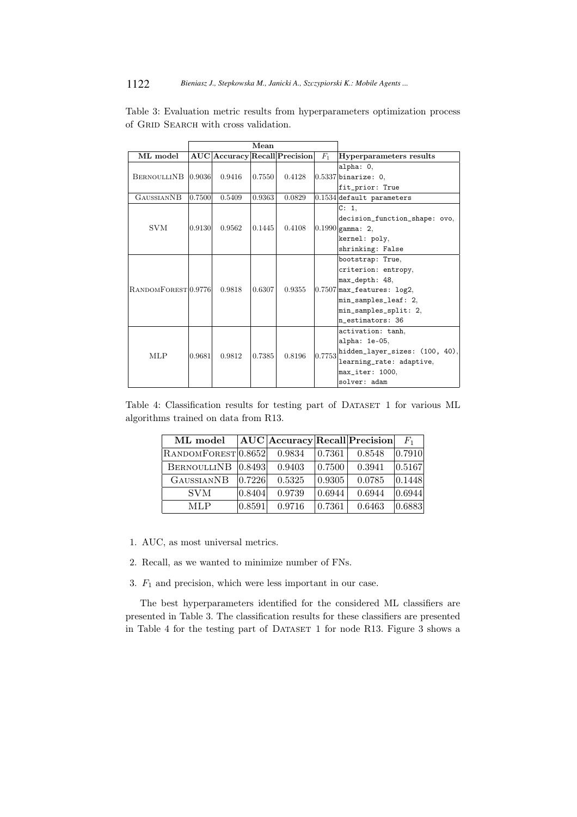|                    |                                | Mean   |        |        |                               |                                |                                |
|--------------------|--------------------------------|--------|--------|--------|-------------------------------|--------------------------------|--------------------------------|
|                    | ML model                       |        |        |        | AUC Accuracy Recall Precision | $F_1$                          | Hyperparameters results        |
|                    |                                |        |        | 0.7550 | 0.4128                        |                                | alpha: 0,                      |
| BERNOULLINB 0.9036 |                                | 0.9416 |        |        |                               | $ 0.5337 $ binarize: 0,        |                                |
|                    |                                |        |        |        |                               |                                | fit_prior: True                |
|                    | <b>GAUSSIANNB</b>              | 0.7500 | 0.5409 | 0.9363 | 0.0829                        |                                | $0.1534$ default parameters    |
|                    |                                |        |        |        |                               |                                | C: 1,                          |
|                    |                                |        |        |        |                               |                                | decision_function_shape: ovo,  |
|                    | <b>SVM</b>                     | 0.9130 | 0.9562 | 0.1445 | 0.4108                        |                                | $ 0.1990 $ gamma: 2,           |
|                    |                                |        |        |        |                               |                                | kernel: poly,                  |
|                    |                                |        |        |        |                               |                                | shrinking: False               |
|                    |                                |        |        |        |                               |                                | bootstrap: True,               |
|                    |                                |        | 0.9818 | 0.6307 | 0.9355                        |                                | criterion: entropy,            |
|                    |                                |        |        |        |                               |                                | max_depth: 48,                 |
|                    | RANDOMFOREST <sub>0.9776</sub> |        |        |        |                               |                                | $ 0.7507 $ max_features: log2, |
|                    |                                |        |        |        |                               |                                | min_samples_leaf: 2,           |
|                    |                                |        |        |        |                               |                                | min_samples_split: 2,          |
|                    |                                |        |        |        |                               |                                | $\ln$ estimators: 36           |
|                    |                                |        |        |        |                               |                                | activation: tanh,              |
| <b>MLP</b>         |                                | 0.9812 |        |        |                               | alpha: 1e-05,                  |                                |
|                    | 0.9681                         |        | 0.7385 | 0.8196 | 0.7753                        | hidden_layer_sizes: (100, 40), |                                |
|                    |                                |        |        |        |                               | learning_rate: adaptive,       |                                |
|                    |                                |        |        |        |                               |                                | max_iter: 1000,                |
|                    |                                |        |        |        |                               |                                | solver: adam                   |

Table 3: Evaluation metric results from hyperparameters optimization process of GRID SEARCH with cross validation.

Table 4: Classification results for testing part of DATASET 1 for various ML algorithms trained on data from R13.

| ML model                       |        | $AUC$   Accuracy   Recall   Precision |        |        | $F_{1}$               |
|--------------------------------|--------|---------------------------------------|--------|--------|-----------------------|
| RANDOMFOREST <sup>0.8652</sup> |        | 0.9834                                | 0.7361 | 0.8548 | 0.7910                |
| BERNOULLINB 0.8493             |        | 0.9403                                | 0.7500 | 0.3941 | 0.5167                |
| <b>GAUSSIANNB</b>              | 0.7226 | 0.5325                                | 0.9305 | 0.0785 | 0.1448                |
| <b>SVM</b>                     | 0.8404 | 0.9739                                | 0.6944 | 0.6944 | 0.6944                |
| MLP                            | 0.8591 | 0.9716                                | 0.7361 | 0.6463 | $\left 0.6883\right $ |

- 1. AUC, as most universal metrics.
- 2. Recall, as we wanted to minimize number of FNs.
- 3.  $\mathcal{F}_1$  and precision, which were less important in our case.

The best hyperparameters identified for the considered ML classifiers are presented in Table 3. The classification results for these classifiers are presented in Table 4 for the testing part of DATASET 1 for node R13. Figure 3 shows a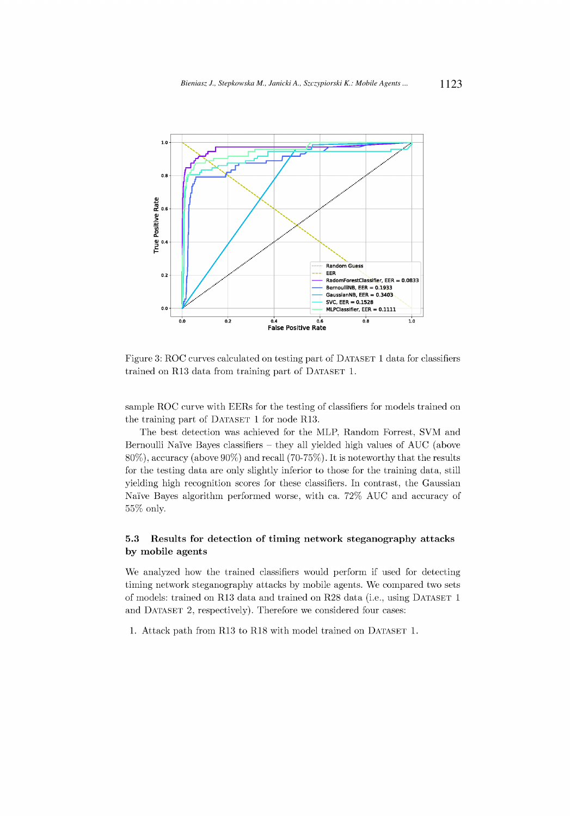

Figure 3: ROC curves calculated on testing part of DATASET 1 data for classifiers trained on R13 data from training part of DATASET 1.

sample ROC curve with EERs for the testing of classifiers for models trained on the training part of DATASET 1 for node R13.

The best detection was achieved for the MLP, Random Forrest, SVM and Bernoulli Naïve Bayes classifiers - they all yielded high values of AUC (above  $80\%$ , accuracy (above  $90\%$ ) and recall (70-75%). It is noteworthy that the results for the testing data are only slightly inferior to those for the training data, still yielding high recognition scores for these classifiers. In contrast, the Gaussian Naïve Bayes algorithm performed worse, with ca. 72% AUC and accuracy of 55% only.

#### 5.3 Results for detection of timing network steganography attacks by mobile agents

We analyzed how the trained classifiers would perform if used for detecting timing network steganography attacks by mobile agents. We compared two sets of models: trained on R13 data and trained on R28 data (i.e., using DATASET 1 and DATASET 2, respectively). Therefore we considered four cases:

1. Attack path from R13 to R18 with model trained on DATASET 1.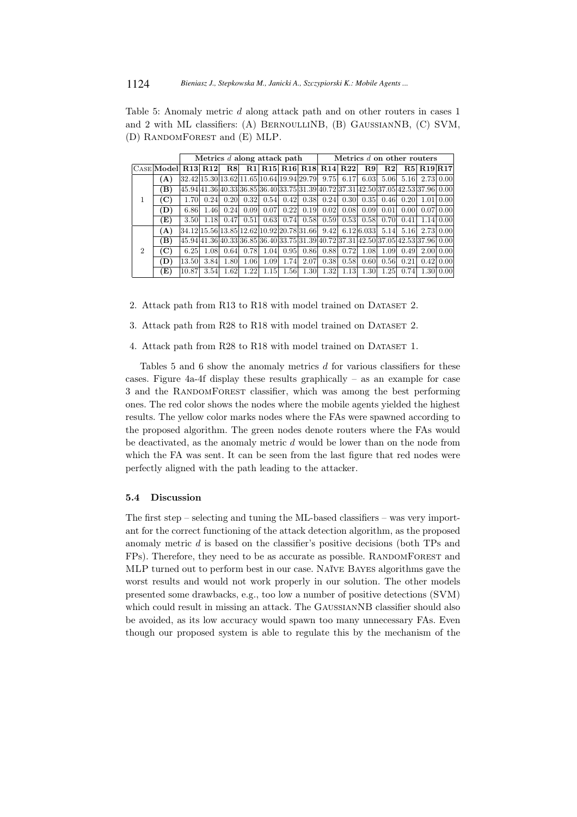Table 5: Anomaly metric d along attack path and on other routers in cases 1 and 2 with ML classifiers: (A) BERNOULLINB, (B) GAUSSIANNB, (C) SVM. (D) RANDOMFOREST and (E) MLP.

|                |                    |       |      |      | Metrics d along attack path |      |           | Metrics d on other routers                                           |      |      |      |      |              |                                                                                    |                             |
|----------------|--------------------|-------|------|------|-----------------------------|------|-----------|----------------------------------------------------------------------|------|------|------|------|--------------|------------------------------------------------------------------------------------|-----------------------------|
|                | CASE Model R13 R12 |       |      | R8   |                             |      |           | R1 R15 R16 R18 R14 R22                                               |      |      | R.9  | R2   |              | <b>R5 R19 R17</b>                                                                  |                             |
|                | (A)                |       |      |      |                             |      |           | 32.42 15.30 13.62 11.65 10.64 19.94 29.79                            | 9.75 | 6.17 | 6.03 |      | $5.06 $ 5.16 | 2.73 0.00                                                                          |                             |
|                | (B)                |       |      |      |                             |      |           |                                                                      |      |      |      |      |              | 45.94 41.36 40.33 36.85 36.40 33.75 31.39 40.72 37.31 42.50 37.05 42.53 37.96 0.00 |                             |
| 1              | (C)                | 1.70  | 0.24 | 0.20 | 0.32                        |      | 0.54 0.42 | 0.38                                                                 | 0.24 | 0.30 | 0.35 | 0.46 | 0.20         | 1.01                                                                               | 0.001                       |
|                | (D)                | 6.86  | 1.46 | 0.24 | 0.09                        | 0.07 | 0.22      | 0.19                                                                 | 0.02 | 0.08 | 0.09 | 0.01 | 0.001        |                                                                                    | 0.07 0.00                   |
|                | (E)                | 3.50  | 1.18 | 0.47 | 0.51                        | 0.63 | 0.74      | 0.58                                                                 | 0.59 | 0.53 | 0.58 | 0.70 | 0.41         |                                                                                    | $1.14 \, 0.00$              |
|                | (A)                |       |      |      |                             |      |           | 34.12  15.56  13.85  12.62  10.92  20.78  31.66   9.42   6.12  6.033 |      |      |      |      | 5.14 5.16    |                                                                                    | 2.73 0.00                   |
|                | (B)                |       |      |      |                             |      |           |                                                                      |      |      |      |      |              | 45.94 41.36 40.33 36.85 36.40 33.75 31.39 40.72 37.31 42.50 37.05 42.53 37.96 0.00 |                             |
| $\overline{2}$ | (C)                | 6.25  | 1.08 | 0.64 | 0.78                        | 1.04 | 0.95      | 0.86                                                                 | 0.88 | 0.72 | 1.08 | 1.09 | 0.49         |                                                                                    | 2.00 0.00                   |
|                | (D)                | 13.50 | 3.84 | 1.80 | 1.06                        | 1.09 | 1.74      | 2.07                                                                 | 0.38 | 0.58 | 0.60 | 0.56 | 0.21         |                                                                                    | $0.42 \,   \, 0.00 \,   \,$ |
|                | (E)                | 10.87 | 3.54 | 1.62 | 1.22                        | 1.15 | 1.56      | 1.30                                                                 | 1.32 | 1.13 | 1.30 | 1.25 | 0.74         |                                                                                    | 1.30 0.00                   |

2. Attack path from R13 to R18 with model trained on DATASET 2.

3. Attack path from R28 to R18 with model trained on DATASET 2.

4. Attack path from R28 to R18 with model trained on DATASET 1.

Tables 5 and 6 show the anomaly metrics  $d$  for various classifiers for these cases. Figure 4a-4f display these results graphically – as an example for case 3 and the RANDOMFOREST classifier, which was among the best performing ones. The red color shows the nodes where the mobile agents yielded the highest results. The yellow color marks nodes where the FAs were spawned according to the proposed algorithm. The green nodes denote routers where the FAs would be deactivated, as the anomaly metric d would be lower than on the node from which the FA was sent. It can be seen from the last figure that red nodes were perfectly aligned with the path leading to the attacker.

#### 5.4 Discussion

The first step – selecting and tuning the ML-based classifiers – was very important for the correct functioning of the attack detection algorithm, as the proposed anomaly metric d is based on the classifier's positive decisions (both TPs and FPs). Therefore, they need to be as accurate as possible. RANDOMFOREST and MLP turned out to perform best in our case. Naïve Bayes algorithms gave the worst results and would not work properly in our solution. The other models presented some drawbacks, e.g., too low a number of positive detections (SVM) which could result in missing an attack. The GAUSSIANNB classifier should also be avoided, as its low accuracy would spawn too many unnecessary FAs. Even though our proposed system is able to regulate this by the mechanism of the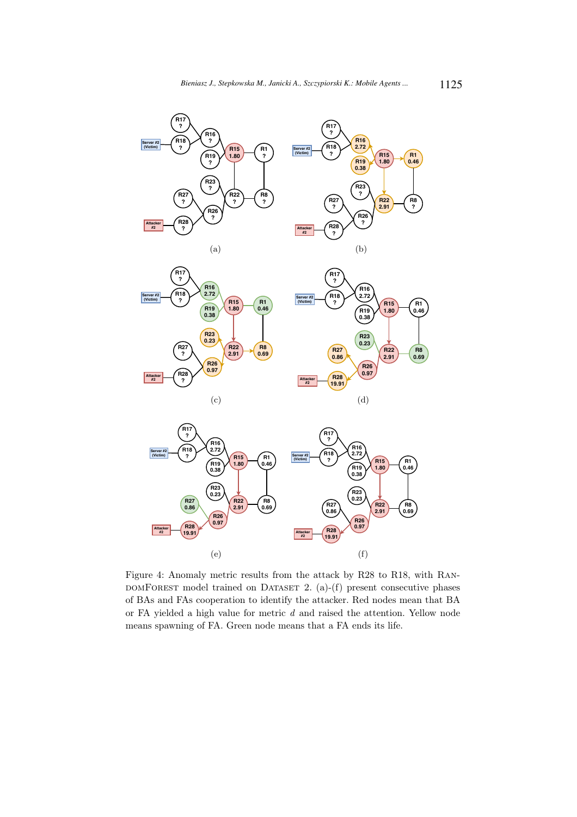

Figure 4: Anomaly metric results from the attack by R28 to R18, with Ran- $DOMFOREST$  model trained on DATASET 2. (a)-(f) present consecutive phases of BAs and FAs cooperation to identify the attacker. Red nodes mean that BA or FA yielded a high value for metric d and raised the attention. Yellow node means spawning of FA. Green node means that a FA ends its life.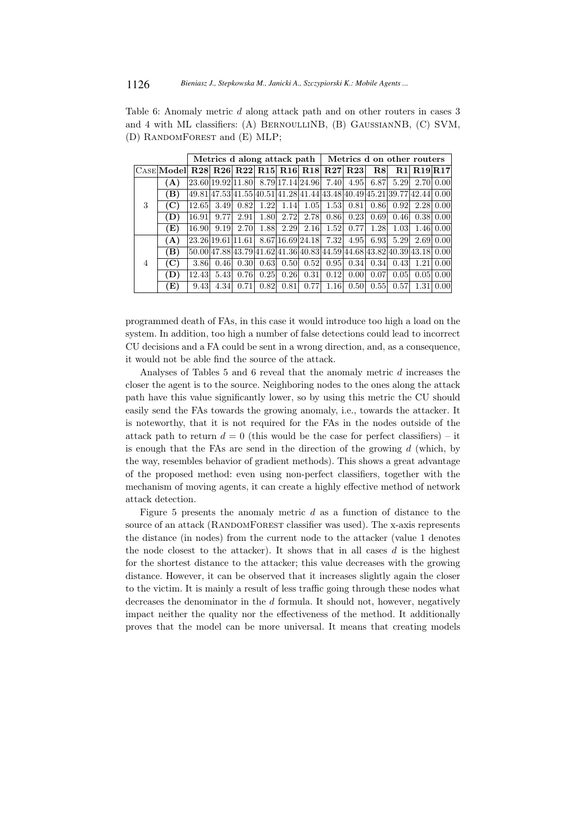Table 6: Anomaly metric d along attack path and on other routers in cases 3 and 4 with ML classifiers: (A) BERNOULLINB, (B) GAUSSIANNB, (C) SVM, (D) RANDOMFOREST and (E) MLP;

|   |                                                                                                 |       |      | Metrics d along attack path |      |             | Metrics d on other routers                                                                       |                  |      |      |                             |                   |           |
|---|-------------------------------------------------------------------------------------------------|-------|------|-----------------------------|------|-------------|--------------------------------------------------------------------------------------------------|------------------|------|------|-----------------------------|-------------------|-----------|
|   | $ {\rm C}_{\rm ASE} $ Model $ $ R28 $ $ R26 $ $ R22 $ $ R15 $ $ R16 $ $ R18 $ $ R27 $ $ R23 $ $ |       |      |                             |      |             |                                                                                                  |                  |      | R.8  |                             | <b>R1 R19 R17</b> |           |
|   | (A)                                                                                             |       |      |                             |      |             | $\left  23.60 \right  19.92 \left  11.80 \right $ 8.79 17.14 24.96 7.40 4.95 6.87 5.29 2.70 0.00 |                  |      |      |                             |                   |           |
|   | (B)                                                                                             |       |      |                             |      |             | 49.81 47.53 41.55 40.51 41.28 41.44 43.48 40.49 45.21 39.77 42.44 0.00                           |                  |      |      |                             |                   |           |
| 3 | (C)                                                                                             | 12.65 | 3.49 | 0.82                        |      | $1.22$ 1.14 |                                                                                                  | $1.05$ 1.53      | 0.81 | 0.86 | 0.92                        | 2.28 0.00         |           |
|   | (D)                                                                                             | 16.91 | 9.77 | 2.91                        | 1.80 | 2.72        |                                                                                                  | 2.78 0.86        | 0.23 | 0.69 | 0.46                        |                   | 0.38 0.00 |
|   | (E)                                                                                             | 16.90 | 9.19 | 2.70                        | 1.88 | 2.29        |                                                                                                  | $2.16 $ 1.52     | 0.77 | 1.28 | 1.03                        |                   | 1.46 0.00 |
|   | (A)                                                                                             |       |      | 23.26 19.61 11.61           |      |             | 8.67 16.69 24.18 7.32 4.95                                                                       |                  |      |      | $6.93$ $5.29$ $2.69$ $0.00$ |                   |           |
|   | (B)                                                                                             |       |      |                             |      |             | $[50.0047.8843.7941.6241.3640.8344.5944.6843.8240.3943.18]$ 0.00                                 |                  |      |      |                             |                   |           |
| 4 | (C)                                                                                             | 3.86  | 0.46 | 0.30                        | 0.63 | 0.50        |                                                                                                  | $0.52$ 0.95 0.34 |      | 0.34 | 0.43                        | 1.21 0.00         |           |
|   | (D)                                                                                             | 12.43 | 5.43 | 0.76                        | 0.25 | 0.26        |                                                                                                  | 0.31 0.12        | 0.00 | 0.07 | 0.05                        |                   | 0.05 0.00 |
|   | $\rm(E)$                                                                                        | 9.43  | 4.34 | 0.71                        | 0.82 | 0.81        |                                                                                                  | $0.77$   1.16    | 0.50 | 0.55 | 0.57                        | 1.31              | 0.00      |

programmed death of FAs, in this case it would introduce too high a load on the system. In addition, too high a number of false detections could lead to incorrect CU decisions and a FA could be sent in a wrong direction, and, as a consequence, it would not be able find the source of the attack.

Analyses of Tables 5 and 6 reveal that the anomaly metric d increases the closer the agent is to the source. Neighboring nodes to the ones along the attack path have this value significantly lower, so by using this metric the CU should easily send the FAs towards the growing anomaly, i.e., towards the attacker. It is noteworthy, that it is not required for the FAs in the nodes outside of the attack path to return  $d = 0$  (this would be the case for perfect classifiers) – it is enough that the FAs are send in the direction of the growing  $d$  (which, by the way, resembles behavior of gradient methods). This shows a great advantage of the proposed method: even using non-perfect classifiers, together with the mechanism of moving agents, it can create a highly effective method of network attack detection.

Figure 5 presents the anomaly metric  $d$  as a function of distance to the source of an attack (RANDOMFOREST classifier was used). The x-axis represents the distance (in nodes) from the current node to the attacker (value 1 denotes the node closest to the attacker). It shows that in all cases  $d$  is the highest for the shortest distance to the attacker; this value decreases with the growing distance. However, it can be observed that it increases slightly again the closer to the victim. It is mainly a result of less traffic going through these nodes what decreases the denominator in the d formula. It should not, however, negatively impact neither the quality nor the effectiveness of the method. It additionally proves that the model can be more universal. It means that creating models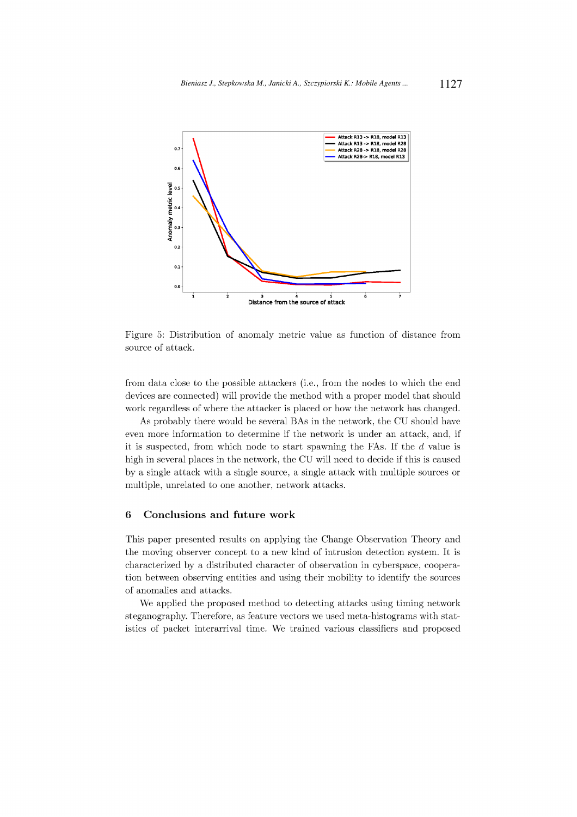

Figure 5: Distribution of anomaly metric value as function of distance from source of attack.

from data close to the possible attackers (i.e., from the nodes to which the end devices are connected) will provide the method with a proper model that should work regardless of where the attacker is placed or how the network has changed.

As probably there would be several BAs in the network, the CU should have even more information to determine if the network is under an attack, and, if it is suspected, from which node to start spawning the FAs. If the  $d$  value is high in several places in the network, the CU will need to decide if this is caused by a single attack with a single source, a single attack with multiple sources or multiple, unrelated to one another, network attacks.

#### $\boldsymbol{6}$ Conclusions and future work

This paper presented results on applying the Change Observation Theory and the moving observer concept to a new kind of intrusion detection system. It is characterized by a distributed character of observation in cyberspace, cooperation between observing entities and using their mobility to identify the sources of anomalies and attacks.

We applied the proposed method to detecting attacks using timing network steganography. Therefore, as feature vectors we used meta-histograms with statistics of packet interarrival time. We trained various classifiers and proposed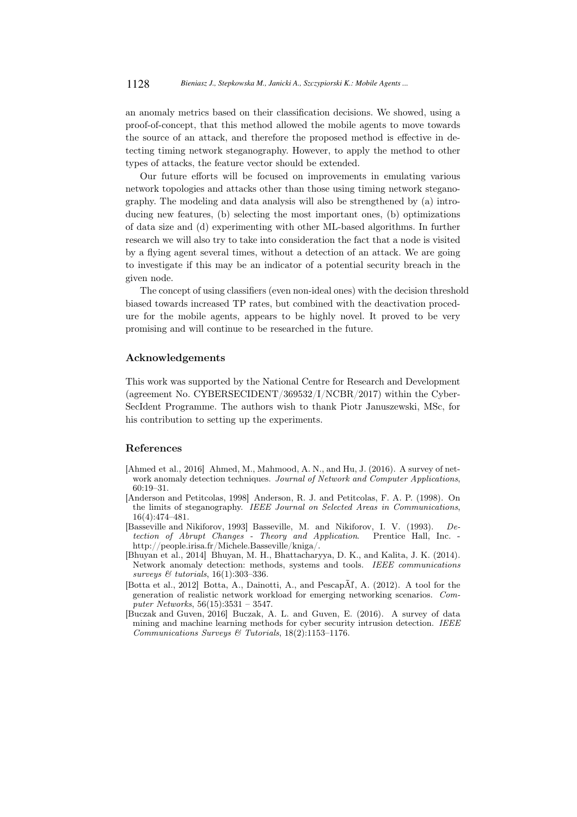an anomaly metrics based on their classification decisions. We showed, using a proof-of-concept, that this method allowed the mobile agents to move towards the source of an attack, and therefore the proposed method is effective in detecting timing network steganography. However, to apply the method to other types of attacks, the feature vector should be extended.

Our future efforts will be focused on improvements in emulating various network topologies and attacks other than those using timing network steganography. The modeling and data analysis will also be strengthened by (a) introducing new features, (b) selecting the most important ones, (b) optimizations of data size and (d) experimenting with other ML-based algorithms. In further research we will also try to take into consideration the fact that a node is visited by a flying agent several times, without a detection of an attack. We are going to investigate if this may be an indicator of a potential security breach in the given node.

The concept of using classifiers (even non-ideal ones) with the decision threshold biased towards increased TP rates, but combined with the deactivation procedure for the mobile agents, appears to be highly novel. It proved to be very promising and will continue to be researched in the future.

#### Acknowledgements

This work was supported by the National Centre for Research and Development (agreement No. CYBERSECIDENT/369532/I/NCBR/2017) within the Cyber-SecIdent Programme. The authors wish to thank Piotr Januszewski, MSc, for his contribution to setting up the experiments.

#### References

- [Ahmed et al., 2016] Ahmed, M., Mahmood, A. N., and Hu, J. (2016). A survey of network anomaly detection techniques. *Journal of Network and Computer Applications*, 60:19–31.
- [Anderson and Petitcolas, 1998] Anderson, R. J. and Petitcolas, F. A. P. (1998). On the limits of steganography. *IEEE Journal on Selected Areas in Communications*, 16(4):474–481.
- [Basseville and Nikiforov, 1993] Basseville, M. and Nikiforov, I. V. (1993). *Detection of Abrupt Changes - Theory and Application.* http://people.irisa.fr/Michele.Basseville/kniga/.
- [Bhuyan et al., 2014] Bhuyan, M. H., Bhattacharyya, D. K., and Kalita, J. K. (2014). Network anomaly detection: methods, systems and tools. *IEEE communications surveys & tutorials*, 16(1):303–336.
- [Botta et al., 2012] Botta, A., Dainotti, A., and PescapÃľ, A. (2012). A tool for the generation of realistic network workload for emerging networking scenarios. *Computer Networks*, 56(15):3531 – 3547.
- [Buczak and Guven, 2016] Buczak, A. L. and Guven, E. (2016). A survey of data mining and machine learning methods for cyber security intrusion detection. *IEEE Communications Surveys & Tutorials*, 18(2):1153–1176.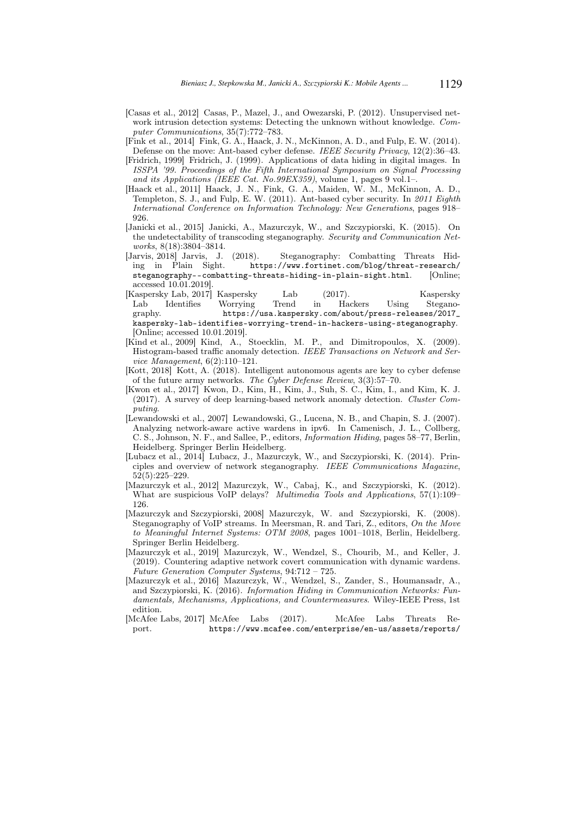- [Casas et al., 2012] Casas, P., Mazel, J., and Owezarski, P. (2012). Unsupervised network intrusion detection systems: Detecting the unknown without knowledge. *Computer Communications*, 35(7):772–783.
- [Fink et al., 2014] Fink, G. A., Haack, J. N., McKinnon, A. D., and Fulp, E. W. (2014). Defense on the move: Ant-based cyber defense. *IEEE Security Privacy*, 12(2):36–43.
- [Fridrich, 1999] Fridrich, J. (1999). Applications of data hiding in digital images. In *ISSPA '99. Proceedings of the Fifth International Symposium on Signal Processing and its Applications (IEEE Cat. No.99EX359)*, volume 1, pages 9 vol.1–.
- [Haack et al., 2011] Haack, J. N., Fink, G. A., Maiden, W. M., McKinnon, A. D., Templeton, S. J., and Fulp, E. W. (2011). Ant-based cyber security. In *2011 Eighth International Conference on Information Technology: New Generations*, pages 918– 926.
- [Janicki et al., 2015] Janicki, A., Mazurczyk, W., and Szczypiorski, K. (2015). On the undetectability of transcoding steganography. *Security and Communication Networks*, 8(18):3804–3814.
- [Jarvis, 2018] Jarvis, J. (2018). Steganography: Combatting Threats Hiding in Plain Sight. https://www.fortinet.com/blog/threat-research/ steganography--combatting-threats-hiding-in-plain-sight.html. [Online; accessed 10.01.2019].
- [Kaspersky Lab, 2017] Kaspersky Lab (2017). Kaspersky Lab Identifies Worrying Trend in Hackers Using Stegano-<br>graphy. https://usa.kaspersky.com/about/press-releases/2017\_ https://usa.kaspersky.com/about/press-releases/2017\_ kaspersky-lab-identifies-worrying-trend-in-hackers-using-steganography. [Online; accessed 10.01.2019].
- [Kind et al., 2009] Kind, A., Stoecklin, M. P., and Dimitropoulos, X. (2009). Histogram-based traffic anomaly detection. *IEEE Transactions on Network and Service Management*, 6(2):110–121.
- [Kott, 2018] Kott, A. (2018). Intelligent autonomous agents are key to cyber defense of the future army networks. *The Cyber Defense Review*, 3(3):57–70.
- [Kwon et al., 2017] Kwon, D., Kim, H., Kim, J., Suh, S. C., Kim, I., and Kim, K. J. (2017). A survey of deep learning-based network anomaly detection. *Cluster Computing*.
- [Lewandowski et al., 2007] Lewandowski, G., Lucena, N. B., and Chapin, S. J. (2007). Analyzing network-aware active wardens in ipv6. In Camenisch, J. L., Collberg, C. S., Johnson, N. F., and Sallee, P., editors, *Information Hiding*, pages 58–77, Berlin, Heidelberg. Springer Berlin Heidelberg.
- [Lubacz et al., 2014] Lubacz, J., Mazurczyk, W., and Szczypiorski, K. (2014). Principles and overview of network steganography. *IEEE Communications Magazine*, 52(5):225–229.
- [Mazurczyk et al., 2012] Mazurczyk, W., Cabaj, K., and Szczypiorski, K. (2012). What are suspicious VoIP delays? *Multimedia Tools and Applications*, 57(1):109– 126.
- [Mazurczyk and Szczypiorski, 2008] Mazurczyk, W. and Szczypiorski, K. (2008). Steganography of VoIP streams. In Meersman, R. and Tari, Z., editors, *On the Move to Meaningful Internet Systems: OTM 2008*, pages 1001–1018, Berlin, Heidelberg. Springer Berlin Heidelberg.
- [Mazurczyk et al., 2019] Mazurczyk, W., Wendzel, S., Chourib, M., and Keller, J. (2019). Countering adaptive network covert communication with dynamic wardens. *Future Generation Computer Systems*, 94:712 – 725.
- [Mazurczyk et al., 2016] Mazurczyk, W., Wendzel, S., Zander, S., Houmansadr, A., and Szczypiorski, K. (2016). *Information Hiding in Communication Networks: Fundamentals, Mechanisms, Applications, and Countermeasures*. Wiley-IEEE Press, 1st edition.
- [McAfee Labs, 2017] McAfee Labs (2017). McAfee Labs Threats Report. https://www.mcafee.com/enterprise/en-us/assets/reports/